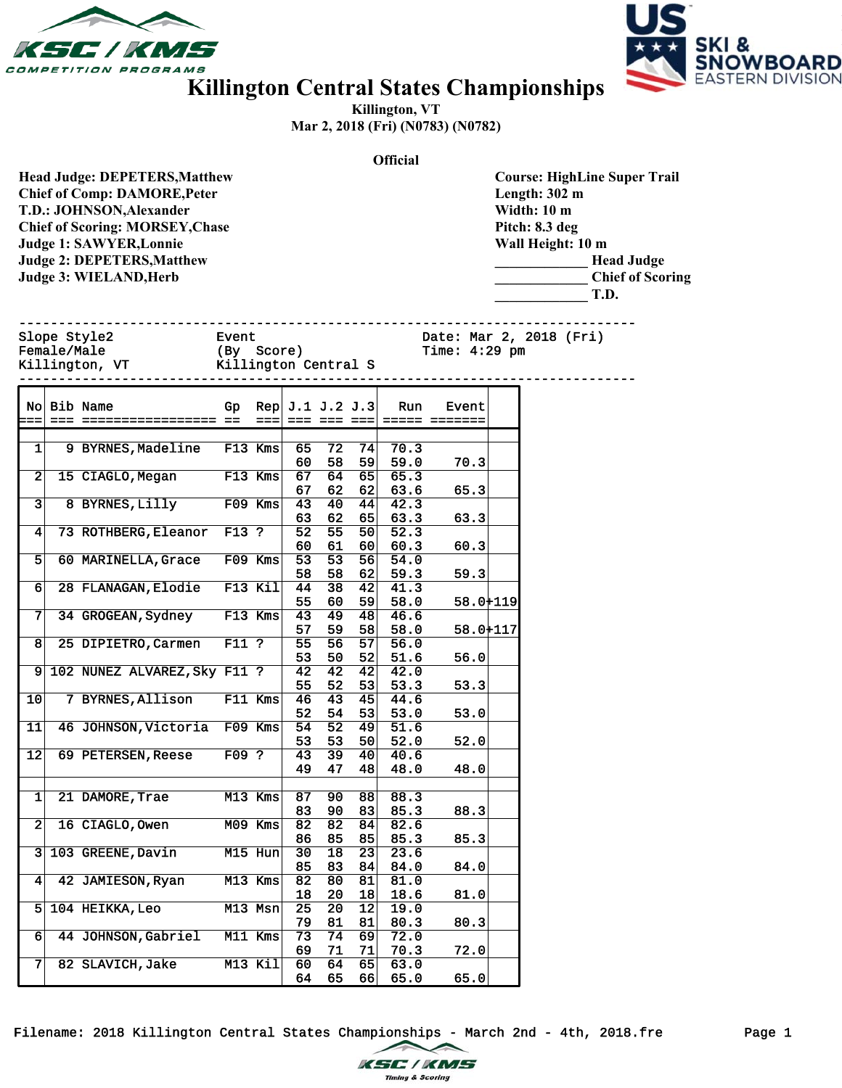



## **Killington Central States Championships**

**Killington, VT Mar 2, 2018 (Fri) (N0783) (N0782)**

**Official**

| <b>Head Judge: DEPETERS, Matthew</b>   |
|----------------------------------------|
| <b>Chief of Comp: DAMORE, Peter</b>    |
| T.D.: JOHNSON, Alexander               |
| <b>Chief of Scoring: MORSEY, Chase</b> |
| <b>Judge 1: SAWYER, Lonnie</b>         |
| <b>Judge 2: DEPETERS, Matthew</b>      |
| Judge 3: WIELAND, Herb                 |
|                                        |

**Course: HighLine Super Trail Length: 302 m Width: 10 m Pitch: 8.3 deg Wall Height: 10 m \_\_\_\_\_\_\_\_\_\_\_\_\_ Head Judge \_\_\_\_\_\_\_\_\_\_\_\_\_ Chief of Scoring \_\_\_\_\_\_\_\_\_\_\_\_\_ T.D.**

|  | Slope Style2<br>Female/Male<br>Killington, VT | Event<br>(By Score)<br>Killington Central S | Date: Mar 2, 2018 (Fri)<br>$Time: 4:29$ pm |
|--|-----------------------------------------------|---------------------------------------------|--------------------------------------------|
|--|-----------------------------------------------|---------------------------------------------|--------------------------------------------|

------------------------------------------------------------------------------

| Nol                     | Bib Name                     | Gp      | Rep       |                 | J.1 J.2 J.3     |                 | Run               | Event    |  |
|-------------------------|------------------------------|---------|-----------|-----------------|-----------------|-----------------|-------------------|----------|--|
| $=$ $=$                 |                              |         |           |                 |                 |                 |                   |          |  |
|                         |                              |         |           |                 |                 |                 |                   |          |  |
| 1                       | 9 BYRNES, Madeline           |         | F13 Kms   | 65              | 72              | 74              | 70.3              |          |  |
|                         |                              |         |           | 60              | 58              | 59              | 59.0              | 70.3     |  |
| $\overline{a}$          | 15 CIAGLO, Megan             |         | F13 Kms   | 67              | 64              | 65              | 65.3              |          |  |
|                         |                              |         |           | 67              | 62              | 62              | 63.6              | 65.3     |  |
| $\overline{\mathbf{3}}$ | 8 BYRNES, Lilly              |         | $F09$ Kms | 43              | $\overline{40}$ | 44              | $\overline{42.3}$ |          |  |
|                         |                              |         |           | 63              | 62              | 65              | 63.3              | 63.3     |  |
| 4                       | 73 ROTHBERG, Eleanor         | F13 ?   |           | 52              | 55              | 50              | 52.3              |          |  |
|                         |                              |         |           | 60              | 61              | 60              | 60.3              | 60.3     |  |
| $\overline{5}$          | 60 MARINELLA, Grace          |         | $F09$ Kms | $\overline{53}$ | $\overline{53}$ | 56              | 54.0              |          |  |
|                         |                              |         |           | 58              | 58              | 62              | 59.3              | 59.3     |  |
| 6                       | 28 FLANAGAN, Elodie          |         | F13 Kil   | 44              | 38              | 42              | 41.3              |          |  |
|                         |                              |         |           | 55              | 60              | 59              | 58.0              | 58.0+119 |  |
| 7                       | 34 GROGEAN, Sydney           |         | F13 Kms   | 43              | 49              | 48              | 46.6              |          |  |
|                         |                              |         |           | 57              | 59              | 58              | 58.0              | 58.0+117 |  |
| $\overline{8}$          | 25 DIPIETRO, Carmen          | $F11$ ? |           | 55              | 56              | 57              | 56.0              |          |  |
|                         |                              |         |           | 53              | 50              | 52              | 51.6              | 56.0     |  |
| 9                       | 102 NUNEZ ALVAREZ, Sky F11 ? |         |           | $\overline{42}$ | $\overline{42}$ | 42              | 42.0              |          |  |
|                         |                              |         |           | 55              | 52              | 53              | 53.3              | 53.3     |  |
| 10                      | 7 BYRNES, Allison            |         | $F11$ Kms | 46              | 43              | 45              | 44.6              |          |  |
|                         |                              |         |           | 52              | 54              | 53              | 53.0              | 53.0     |  |
| 11                      | 46 JOHNSON, Victoria         | F09 Kms |           | 54              | $\overline{52}$ | 49              | 51.6              |          |  |
|                         |                              |         |           | 53              | 53              | 50              | 52.0              | 52.0     |  |
| 12                      | 69 PETERSEN, Reese           | F09 ?   |           | 43              | 39              | 40              | 40.6              |          |  |
|                         |                              |         |           | 49              | 47              | 48              | 48.0              | 48.0     |  |
|                         |                              |         |           |                 |                 |                 |                   |          |  |
| $\mathbf{1}$            | 21 DAMORE, Trae              |         | M13 Kms   | 87              | 90              | 88              | 88.3              |          |  |
|                         |                              |         |           | 83              | 90              | 83              | 85.3              | 88.3     |  |
| $\overline{2}$          | 16 CIAGLO, Owen              |         | M09 Kms   | 82              | 82              | 84              | 82.6              |          |  |
|                         |                              |         |           | 86              | 85              | 85              | 85.3              | 85.3     |  |
| $\overline{\mathbf{3}}$ | 103 GREENE, Davin            |         | M15 Hun   | 30              | $\overline{18}$ | $\overline{23}$ | 23.6              |          |  |
|                         |                              |         |           | 85              | 83              | 84              | 84.0              | 84.0     |  |
| 4                       | 42 JAMIESON, Ryan            |         | $M13$ Kms | 82              | $\overline{80}$ | 81              | 81.0              |          |  |
|                         |                              |         |           | 18              | 20              | 18              | 18.6              | 81.0     |  |
| 5                       | 104 HEIKKA, Leo              |         | M13 Msn   | 25              | 20              | 12              | 19.0              |          |  |
|                         |                              |         |           | 79              | 81              | 81              | 80.3              | 80.3     |  |
| 6                       | 44 JOHNSON, Gabriel          |         | $M11$ Kms | 73              | $\overline{74}$ | 69              | 72.0              |          |  |
|                         |                              |         |           | 69              | 71              | 71              | 70.3              | 72.0     |  |
| 7                       | 82 SLAVICH, Jake             |         | M13 Kil   | 60              | 64              | 65              | 63.0              |          |  |
|                         |                              |         |           | 64              | 65              | 66              | 65.0              | 65.0     |  |